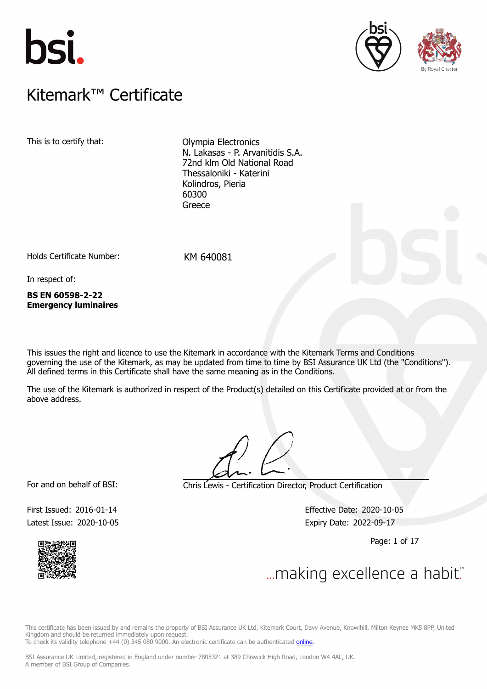





## $K$ itemark $W$  Certificate Kitemark™ Certificate

This is to certify that: Olympia Electronics N. Lakasas - P. Arvanitidis S.A. 72nd klm Old National Road Thessaloniki - Katerini Kolindros, Pieria 60300 Greece

Holds Certificate Number: KM 640081

In respect of:

**BS EN 60598-2-22 Emergency luminaires**

This issues the right and licence to use the Kitemark in accordance with the Kitemark Terms and Conditions governing the use of the Kitemark, as may be updated from time to time by BSI Assurance UK Ltd (the "Conditions"). All defined terms in this Certificate shall have the same meaning as in the Conditions.

The use of the Kitemark is authorized in respect of the Product(s) detailed on this Certificate provided at or from the above address.

For and on behalf of BSI: Chris Lewis - Certification Director, Product Certification

First Issued: 2016-01-14 Effective Date: 2020-10-05 Latest Issue: 2020-10-05 expiry Date: 2022-09-17

Page: 1 of 17



 $\mathcal{L}$ 

This certificate has been issued by and remains the property of BSI Assurance UK Ltd, Kitemark Court, Davy Avenue, Knowlhill, Milton Keynes MK5 8PP, United Kingdom and should be returned immediately upon request.

To check its validity telephone +44 (0) 345 080 9000. An electronic certificate can be authenticated [online](https://pgplus.bsigroup.com/CertificateValidation/CertificateValidator.aspx?CertificateNumber=KM+640081&ReIssueDate=05%2f10%2f2020&Template=uk).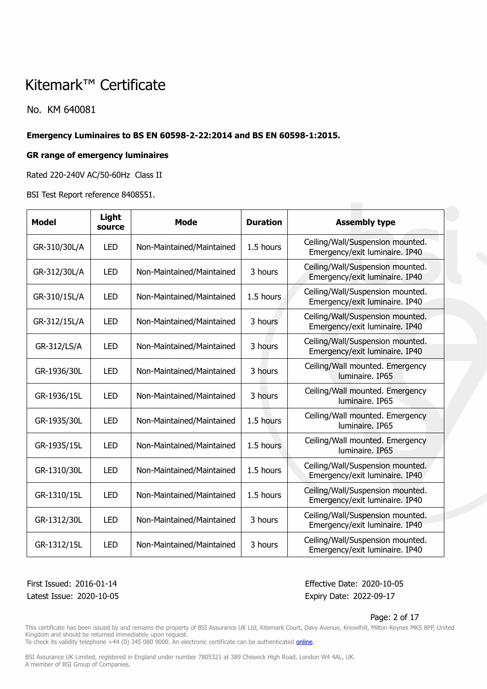No. KM 640081

### **Emergency Luminaires to BS EN 60598-2-22:2014 and BS EN 60598-1:2015.**

#### **GR range of emergency luminaires**

Rated 220-240V AC/50-60Hz Class II

BSI Test Report reference 8408551.

| <b>Model</b> | Light<br>source | <b>Mode</b>               | <b>Duration</b> | <b>Assembly type</b>                                               |
|--------------|-----------------|---------------------------|-----------------|--------------------------------------------------------------------|
| GR-310/30L/A | <b>LED</b>      | Non-Maintained/Maintained | 1.5 hours       | Ceiling/Wall/Suspension mounted.<br>Emergency/exit luminaire. IP40 |
| GR-312/30L/A | LED             | Non-Maintained/Maintained | 3 hours         | Ceiling/Wall/Suspension mounted.<br>Emergency/exit luminaire. IP40 |
| GR-310/15L/A | <b>LED</b>      | Non-Maintained/Maintained | 1.5 hours       | Ceiling/Wall/Suspension mounted.<br>Emergency/exit luminaire. IP40 |
| GR-312/15L/A | <b>LED</b>      | Non-Maintained/Maintained | 3 hours         | Ceiling/Wall/Suspension mounted.<br>Emergency/exit luminaire. IP40 |
| GR-312/LS/A  | <b>LED</b>      | Non-Maintained/Maintained | 3 hours         | Ceiling/Wall/Suspension mounted.<br>Emergency/exit luminaire. IP40 |
| GR-1936/30L  | <b>LED</b>      | Non-Maintained/Maintained | 3 hours         | Ceiling/Wall mounted. Emergency<br>luminaire. IP65                 |
| GR-1936/15L  | <b>LED</b>      | Non-Maintained/Maintained | 3 hours         | Ceiling/Wall mounted. Emergency<br>luminaire. IP65                 |
| GR-1935/30L  | <b>LED</b>      | Non-Maintained/Maintained | 1.5 hours       | Ceiling/Wall mounted. Emergency<br>luminaire, IP65                 |
| GR-1935/15L  | <b>LED</b>      | Non-Maintained/Maintained | 1.5 hours       | Ceiling/Wall mounted. Emergency<br>luminaire. IP65                 |
| GR-1310/30L  | <b>LED</b>      | Non-Maintained/Maintained | 1.5 hours       | Ceiling/Wall/Suspension mounted.<br>Emergency/exit luminaire. IP40 |
| GR-1310/15L  | <b>LED</b>      | Non-Maintained/Maintained | 1.5 hours       | Ceiling/Wall/Suspension mounted.<br>Emergency/exit luminaire. IP40 |
| GR-1312/30L  | <b>LED</b>      | Non-Maintained/Maintained | 3 hours         | Ceiling/Wall/Suspension mounted.<br>Emergency/exit luminaire. IP40 |
| GR-1312/15L  | <b>LED</b>      | Non-Maintained/Maintained | 3 hours         | Ceiling/Wall/Suspension mounted.<br>Emergency/exit luminaire. IP40 |

Latest Issue: 2020-10-05 Expiry Date: 2022-09-17

First Issued: 2016-01-14 Effective Date: 2020-10-05

#### Page: 2 of 17

This certificate has been issued by and remains the property of BSI Assurance UK Ltd, Kitemark Court, Davy Avenue, Knowlhill, Milton Keynes MK5 8PP, United Kingdom and should be returned immediately upon request.

To check its validity telephone +44 (0) 345 080 9000. An electronic certificate can be authenticated *[online](https://pgplus.bsigroup.com/CertificateValidation/CertificateValidator.aspx?CertificateNumber=KM+640081&ReIssueDate=05%2f10%2f2020&Template=uk)*.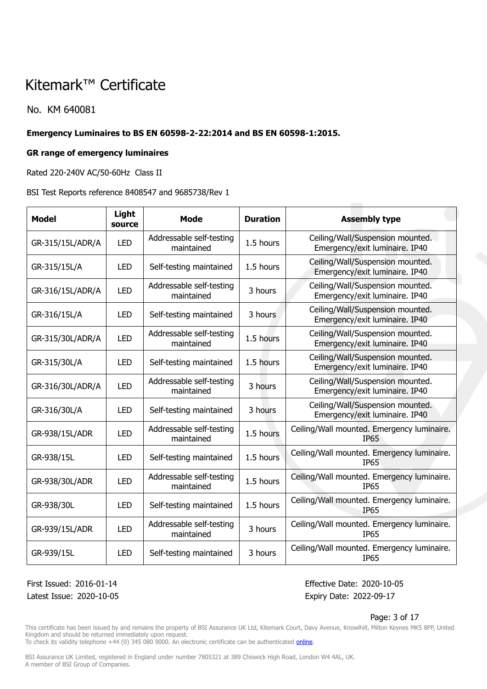No. KM 640081

### **Emergency Luminaires to BS EN 60598-2-22:2014 and BS EN 60598-1:2015.**

### **GR range of emergency luminaires**

Rated 220-240V AC/50-60Hz Class II

BSI Test Reports reference 8408547 and 9685738/Rev 1

| <b>Model</b>     | Light<br>source | <b>Mode</b>                            | <b>Duration</b> | <b>Assembly type</b>                                               |
|------------------|-----------------|----------------------------------------|-----------------|--------------------------------------------------------------------|
| GR-315/15L/ADR/A | <b>LED</b>      | Addressable self-testing<br>maintained | 1.5 hours       | Ceiling/Wall/Suspension mounted.<br>Emergency/exit luminaire. IP40 |
| GR-315/15L/A     | <b>LED</b>      | Self-testing maintained                | 1.5 hours       | Ceiling/Wall/Suspension mounted.<br>Emergency/exit luminaire. IP40 |
| GR-316/15L/ADR/A | <b>LED</b>      | Addressable self-testing<br>maintained | 3 hours         | Ceiling/Wall/Suspension mounted.<br>Emergency/exit luminaire. IP40 |
| GR-316/15L/A     | <b>LED</b>      | Self-testing maintained                | 3 hours         | Ceiling/Wall/Suspension mounted.<br>Emergency/exit luminaire. IP40 |
| GR-315/30L/ADR/A | <b>LED</b>      | Addressable self-testing<br>maintained | 1.5 hours       | Ceiling/Wall/Suspension mounted.<br>Emergency/exit luminaire. IP40 |
| GR-315/30L/A     | <b>LED</b>      | Self-testing maintained                | 1.5 hours       | Ceiling/Wall/Suspension mounted.<br>Emergency/exit luminaire. IP40 |
| GR-316/30L/ADR/A | <b>LED</b>      | Addressable self-testing<br>maintained | 3 hours         | Ceiling/Wall/Suspension mounted.<br>Emergency/exit luminaire. IP40 |
| GR-316/30L/A     | <b>LED</b>      | Self-testing maintained                | 3 hours         | Ceiling/Wall/Suspension mounted.<br>Emergency/exit luminaire. IP40 |
| GR-938/15L/ADR   | <b>LED</b>      | Addressable self-testing<br>maintained | 1.5 hours       | Ceiling/Wall mounted. Emergency luminaire.<br><b>IP65</b>          |
| GR-938/15L       | <b>LED</b>      | Self-testing maintained                | 1.5 hours       | Ceiling/Wall mounted. Emergency luminaire.<br><b>IP65</b>          |
| GR-938/30L/ADR   | <b>LED</b>      | Addressable self-testing<br>maintained | 1.5 hours       | Ceiling/Wall mounted. Emergency luminaire.<br><b>IP65</b>          |
| GR-938/30L       | <b>LED</b>      | Self-testing maintained                | 1.5 hours       | Ceiling/Wall mounted. Emergency luminaire.<br><b>IP65</b>          |
| GR-939/15L/ADR   | <b>LED</b>      | Addressable self-testing<br>maintained | 3 hours         | Ceiling/Wall mounted. Emergency luminaire.<br><b>IP65</b>          |
| GR-939/15L       | <b>LED</b>      | Self-testing maintained                | 3 hours         | Ceiling/Wall mounted. Emergency luminaire.<br><b>IP65</b>          |

Latest Issue: 2020-10-05 Expiry Date: 2022-09-17

First Issued: 2016-01-14 Effective Date: 2020-10-05

#### Page: 3 of 17

This certificate has been issued by and remains the property of BSI Assurance UK Ltd, Kitemark Court, Davy Avenue, Knowlhill, Milton Keynes MK5 8PP, United Kingdom and should be returned immediately upon request.

To check its validity telephone +44 (0) 345 080 9000. An electronic certificate can be authenticated *[online](https://pgplus.bsigroup.com/CertificateValidation/CertificateValidator.aspx?CertificateNumber=KM+640081&ReIssueDate=05%2f10%2f2020&Template=uk)*.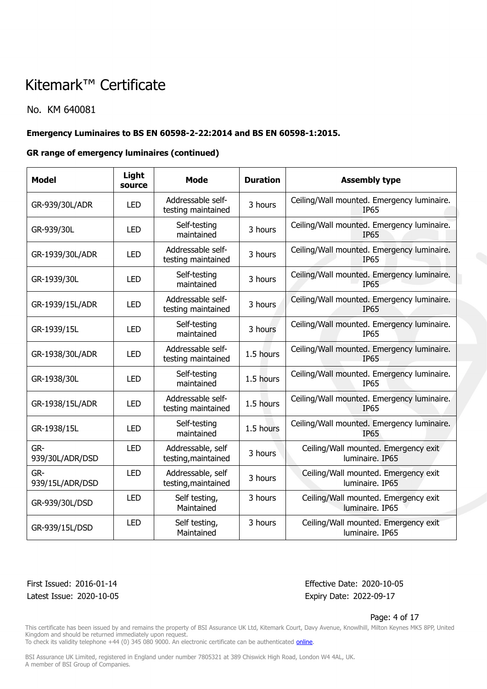### No. KM 640081

### **Emergency Luminaires to BS EN 60598-2-22:2014 and BS EN 60598-1:2015.**

### **GR range of emergency luminaires (continued)**

| <b>Model</b>           | Light<br>source | <b>Mode</b>                              | <b>Duration</b> | <b>Assembly type</b>                                      |
|------------------------|-----------------|------------------------------------------|-----------------|-----------------------------------------------------------|
| GR-939/30L/ADR         | <b>LED</b>      | Addressable self-<br>testing maintained  | 3 hours         | Ceiling/Wall mounted. Emergency luminaire.<br><b>IP65</b> |
| GR-939/30L             | <b>LED</b>      | Self-testing<br>maintained               | 3 hours         | Ceiling/Wall mounted. Emergency luminaire.<br><b>IP65</b> |
| GR-1939/30L/ADR        | <b>LED</b>      | Addressable self-<br>testing maintained  | 3 hours         | Ceiling/Wall mounted. Emergency luminaire.<br><b>IP65</b> |
| GR-1939/30L            | <b>LED</b>      | Self-testing<br>maintained               | 3 hours         | Ceiling/Wall mounted. Emergency luminaire.<br><b>IP65</b> |
| GR-1939/15L/ADR        | <b>LED</b>      | Addressable self-<br>testing maintained  | 3 hours         | Ceiling/Wall mounted. Emergency luminaire.<br><b>IP65</b> |
| GR-1939/15L            | <b>LED</b>      | Self-testing<br>maintained               | 3 hours         | Ceiling/Wall mounted. Emergency luminaire.<br><b>IP65</b> |
| GR-1938/30L/ADR        | <b>LED</b>      | Addressable self-<br>testing maintained  | 1.5 hours       | Ceiling/Wall mounted. Emergency luminaire.<br><b>IP65</b> |
| GR-1938/30L            | <b>LED</b>      | Self-testing<br>maintained               | 1.5 hours       | Ceiling/Wall mounted. Emergency luminaire.<br><b>IP65</b> |
| GR-1938/15L/ADR        | <b>LED</b>      | Addressable self-<br>testing maintained  | 1.5 hours       | Ceiling/Wall mounted. Emergency luminaire.<br><b>IP65</b> |
| GR-1938/15L            | <b>LED</b>      | Self-testing<br>maintained               | 1.5 hours       | Ceiling/Wall mounted. Emergency luminaire.<br><b>IP65</b> |
| GR-<br>939/30L/ADR/DSD | <b>LED</b>      | Addressable, self<br>testing, maintained | 3 hours         | Ceiling/Wall mounted. Emergency exit<br>luminaire. IP65   |
| GR-<br>939/15L/ADR/DSD | <b>LED</b>      | Addressable, self<br>testing, maintained | 3 hours         | Ceiling/Wall mounted. Emergency exit<br>luminaire. IP65   |
| GR-939/30L/DSD         | <b>LED</b>      | Self testing,<br>Maintained              | 3 hours         | Ceiling/Wall mounted. Emergency exit<br>luminaire. IP65   |
| GR-939/15L/DSD         | <b>LED</b>      | Self testing,<br>Maintained              | 3 hours         | Ceiling/Wall mounted. Emergency exit<br>luminaire. IP65   |

Latest Issue: 2020-10-05 Expiry Date: 2022-09-17

First Issued: 2016-01-14 Effective Date: 2020-10-05

#### Page: 4 of 17

This certificate has been issued by and remains the property of BSI Assurance UK Ltd, Kitemark Court, Davy Avenue, Knowlhill, Milton Keynes MK5 8PP, United Kingdom and should be returned immediately upon request.

To check its validity telephone +44 (0) 345 080 9000. An electronic certificate can be authenticated *[online](https://pgplus.bsigroup.com/CertificateValidation/CertificateValidator.aspx?CertificateNumber=KM+640081&ReIssueDate=05%2f10%2f2020&Template=uk)*.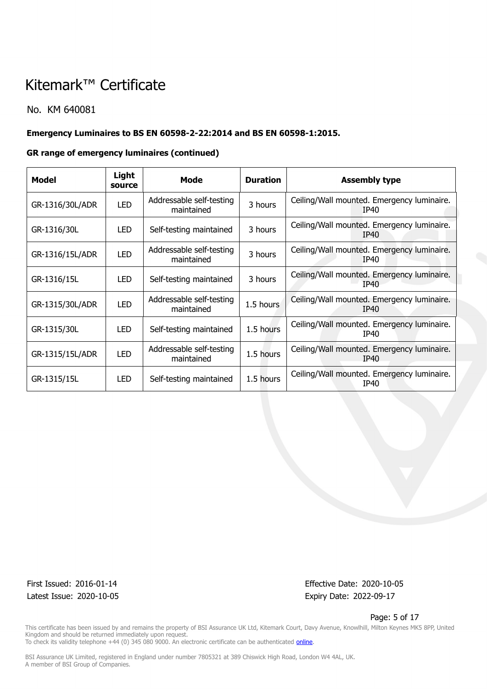### No. KM 640081

## **Emergency Luminaires to BS EN 60598-2-22:2014 and BS EN 60598-1:2015.**

### **GR range of emergency luminaires (continued)**

| Model           | Light<br>source | Mode                                   | <b>Duration</b> | <b>Assembly type</b>                                      |
|-----------------|-----------------|----------------------------------------|-----------------|-----------------------------------------------------------|
| GR-1316/30L/ADR | <b>LED</b>      | Addressable self-testing<br>maintained | 3 hours         | Ceiling/Wall mounted. Emergency luminaire.<br>IP40        |
| GR-1316/30L     | <b>LED</b>      | Self-testing maintained                | 3 hours         | Ceiling/Wall mounted. Emergency luminaire.<br>IP40        |
| GR-1316/15L/ADR | <b>LED</b>      | Addressable self-testing<br>maintained | 3 hours         | Ceiling/Wall mounted. Emergency luminaire.<br>IP40        |
| GR-1316/15L     | LED.            | Self-testing maintained                | 3 hours         | Ceiling/Wall mounted. Emergency luminaire.<br>TP40        |
| GR-1315/30L/ADR | <b>LED</b>      | Addressable self-testing<br>maintained | 1.5 hours       | Ceiling/Wall mounted. Emergency luminaire.<br>IP40        |
| GR-1315/30L     | <b>LED</b>      | Self-testing maintained                | 1.5 hours       | Ceiling/Wall mounted. Emergency luminaire.<br>IP40        |
| GR-1315/15L/ADR | <b>LED</b>      | Addressable self-testing<br>maintained | 1.5 hours       | Ceiling/Wall mounted. Emergency luminaire.<br><b>IP40</b> |
| GR-1315/15L     | LED.            | Self-testing maintained                | 1.5 hours       | Ceiling/Wall mounted. Emergency luminaire.<br>IP40        |

Latest Issue: 2020-10-05 expiry Date: 2022-09-17

First Issued: 2016-01-14 Effective Date: 2020-10-05

#### Page: 5 of 17

This certificate has been issued by and remains the property of BSI Assurance UK Ltd, Kitemark Court, Davy Avenue, Knowlhill, Milton Keynes MK5 8PP, United Kingdom and should be returned immediately upon request. To check its validity telephone +44 (0) 345 080 9000. An electronic certificate can be authenticated *[online](https://pgplus.bsigroup.com/CertificateValidation/CertificateValidator.aspx?CertificateNumber=KM+640081&ReIssueDate=05%2f10%2f2020&Template=uk)*.

BSI Assurance UK Limited, registered in England under number 7805321 at 389 Chiswick High Road, London W4 4AL, UK.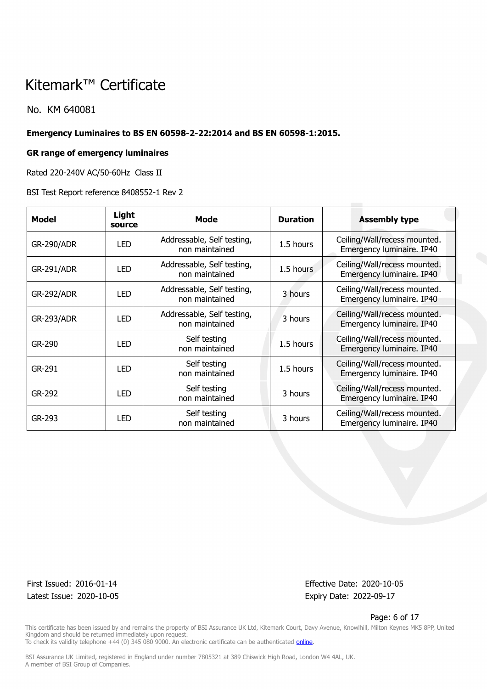No. KM 640081

#### **Emergency Luminaires to BS EN 60598-2-22:2014 and BS EN 60598-1:2015.**

#### **GR range of emergency luminaires**

Rated 220-240V AC/50-60Hz Class II

BSI Test Report reference 8408552-1 Rev 2

| <b>Model</b>      | Light<br>source | Mode                                         | <b>Duration</b> | <b>Assembly type</b>                                      |
|-------------------|-----------------|----------------------------------------------|-----------------|-----------------------------------------------------------|
| <b>GR-290/ADR</b> | <b>LED</b>      | Addressable, Self testing,<br>non maintained | 1.5 hours       | Ceiling/Wall/recess mounted.<br>Emergency luminaire. IP40 |
| <b>GR-291/ADR</b> | <b>LED</b>      | Addressable, Self testing,<br>non maintained | 1.5 hours       | Ceiling/Wall/recess mounted.<br>Emergency luminaire. IP40 |
| <b>GR-292/ADR</b> | <b>LED</b>      | Addressable, Self testing,<br>non maintained | 3 hours         | Ceiling/Wall/recess mounted.<br>Emergency luminaire. IP40 |
| <b>GR-293/ADR</b> | <b>LED</b>      | Addressable, Self testing,<br>non maintained | 3 hours         | Ceiling/Wall/recess mounted.<br>Emergency luminaire. IP40 |
| GR-290            | <b>LED</b>      | Self testing<br>non maintained               | 1.5 hours       | Ceiling/Wall/recess mounted.<br>Emergency luminaire. IP40 |
| GR-291            | <b>LED</b>      | Self testing<br>non maintained               | 1.5 hours       | Ceiling/Wall/recess mounted.<br>Emergency luminaire. IP40 |
| GR-292            | <b>LED</b>      | Self testing<br>non maintained               | 3 hours         | Ceiling/Wall/recess mounted.<br>Emergency luminaire. IP40 |
| GR-293            | <b>LED</b>      | Self testing<br>non maintained               | 3 hours         | Ceiling/Wall/recess mounted.<br>Emergency luminaire. IP40 |

Latest Issue: 2020-10-05 Expiry Date: 2022-09-17

First Issued: 2016-01-14 Effective Date: 2020-10-05

#### Page: 6 of 17

This certificate has been issued by and remains the property of BSI Assurance UK Ltd, Kitemark Court, Davy Avenue, Knowlhill, Milton Keynes MK5 8PP, United Kingdom and should be returned immediately upon request. To check its validity telephone +44 (0) 345 080 9000. An electronic certificate can be authenticated *[online](https://pgplus.bsigroup.com/CertificateValidation/CertificateValidator.aspx?CertificateNumber=KM+640081&ReIssueDate=05%2f10%2f2020&Template=uk)*.

BSI Assurance UK Limited, registered in England under number 7805321 at 389 Chiswick High Road, London W4 4AL, UK.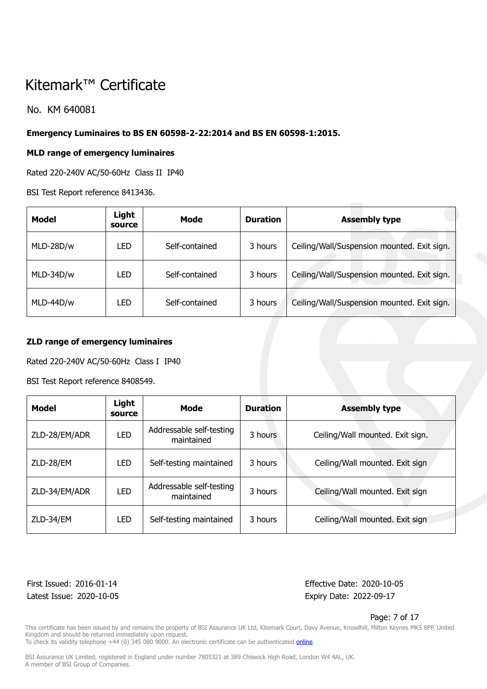No. KM 640081

### **Emergency Luminaires to BS EN 60598-2-22:2014 and BS EN 60598-1:2015.**

### **MLD range of emergency luminaires**

Rated 220-240V AC/50-60Hz Class II IP40

BSI Test Report reference 8413436.

| Model     | Light<br>source | Mode           | <b>Duration</b> | <b>Assembly type</b>                        |
|-----------|-----------------|----------------|-----------------|---------------------------------------------|
| MLD-28D/w | LED             | Self-contained | 3 hours         | Ceiling/Wall/Suspension mounted. Exit sign. |
| MLD-34D/w | LED             | Self-contained | 3 hours         | Ceiling/Wall/Suspension mounted. Exit sign. |
| MLD-44D/w | LED             | Self-contained | 3 hours         | Ceiling/Wall/Suspension mounted. Exit sign. |

### **ZLD range of emergency luminaires**

Rated 220-240V AC/50-60Hz Class I IP40

BSI Test Report reference 8408549.

| <b>Model</b>  | Light<br>source | Mode                                   | <b>Duration</b> | <b>Assembly type</b>             |
|---------------|-----------------|----------------------------------------|-----------------|----------------------------------|
| ZLD-28/EM/ADR | <b>LED</b>      | Addressable self-testing<br>maintained | 3 hours         | Ceiling/Wall mounted. Exit sign. |
| ZLD-28/EM     | <b>LED</b>      | Self-testing maintained                | 3 hours         | Ceiling/Wall mounted. Exit sign  |
| ZLD-34/EM/ADR | <b>LED</b>      | Addressable self-testing<br>maintained | 3 hours         | Ceiling/Wall mounted. Exit sign  |
| ZLD-34/EM     | <b>LED</b>      | Self-testing maintained                | 3 hours         | Ceiling/Wall mounted. Exit sign  |

Latest Issue: 2020-10-05 Expiry Date: 2022-09-17

First Issued: 2016-01-14 Effective Date: 2020-10-05

Page: 7 of 17

This certificate has been issued by and remains the property of BSI Assurance UK Ltd, Kitemark Court, Davy Avenue, Knowlhill, Milton Keynes MK5 8PP, United Kingdom and should be returned immediately upon request.

To check its validity telephone +44 (0) 345 080 9000. An electronic certificate can be authenticated *[online](https://pgplus.bsigroup.com/CertificateValidation/CertificateValidator.aspx?CertificateNumber=KM+640081&ReIssueDate=05%2f10%2f2020&Template=uk)*.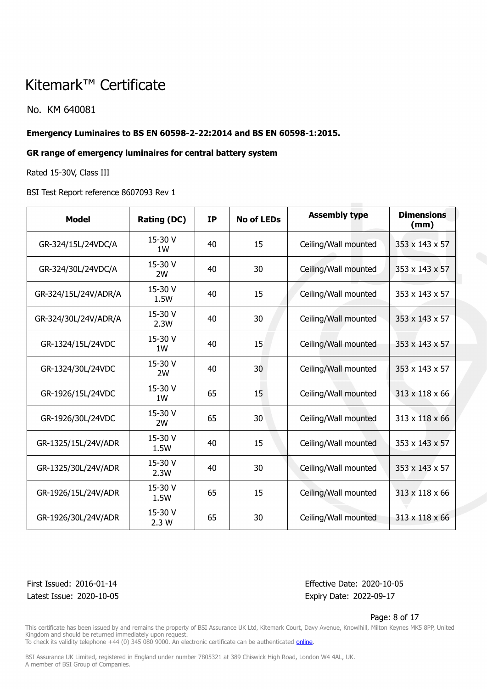No. KM 640081

### **Emergency Luminaires to BS EN 60598-2-22:2014 and BS EN 60598-1:2015.**

### **GR range of emergency luminaires for central battery system**

Rated 15-30V, Class III

BSI Test Report reference 8607093 Rev 1

| <b>Model</b>         | <b>Rating (DC)</b> | <b>IP</b> | <b>No of LEDs</b> | <b>Assembly type</b> | <b>Dimensions</b><br>(mm) |
|----------------------|--------------------|-----------|-------------------|----------------------|---------------------------|
| GR-324/15L/24VDC/A   | 15-30 V<br>1W      | 40        | 15                | Ceiling/Wall mounted | 353 x 143 x 57            |
| GR-324/30L/24VDC/A   | 15-30 V<br>2W      | 40        | 30                | Ceiling/Wall mounted | 353 x 143 x 57            |
| GR-324/15L/24V/ADR/A | 15-30 V<br>1.5W    | 40        | 15                | Ceiling/Wall mounted | 353 x 143 x 57            |
| GR-324/30L/24V/ADR/A | 15-30 V<br>2.3W    | 40        | 30                | Ceiling/Wall mounted | 353 x 143 x 57            |
| GR-1324/15L/24VDC    | 15-30 V<br>1W      | 40        | 15                | Ceiling/Wall mounted | 353 x 143 x 57            |
| GR-1324/30L/24VDC    | 15-30 V<br>2W      | 40        | 30                | Ceiling/Wall mounted | 353 x 143 x 57            |
| GR-1926/15L/24VDC    | 15-30 V<br>1W      | 65        | 15                | Ceiling/Wall mounted | 313 x 118 x 66            |
| GR-1926/30L/24VDC    | 15-30 V<br>2W      | 65        | 30                | Ceiling/Wall mounted | 313 x 118 x 66            |
| GR-1325/15L/24V/ADR  | 15-30 V<br>1.5W    | 40        | 15                | Ceiling/Wall mounted | 353 x 143 x 57            |
| GR-1325/30L/24V/ADR  | 15-30 V<br>2.3W    | 40        | 30                | Ceiling/Wall mounted | 353 x 143 x 57            |
| GR-1926/15L/24V/ADR  | 15-30 V<br>1.5W    | 65        | 15                | Ceiling/Wall mounted | 313 x 118 x 66            |
| GR-1926/30L/24V/ADR  | 15-30 V<br>2.3W    | 65        | 30                | Ceiling/Wall mounted | 313 x 118 x 66            |

Latest Issue: 2020-10-05 Expiry Date: 2022-09-17

First Issued: 2016-01-14 Effective Date: 2020-10-05

Page: 8 of 17

This certificate has been issued by and remains the property of BSI Assurance UK Ltd, Kitemark Court, Davy Avenue, Knowlhill, Milton Keynes MK5 8PP, United Kingdom and should be returned immediately upon request.

To check its validity telephone +44 (0) 345 080 9000. An electronic certificate can be authenticated *[online](https://pgplus.bsigroup.com/CertificateValidation/CertificateValidator.aspx?CertificateNumber=KM+640081&ReIssueDate=05%2f10%2f2020&Template=uk)*.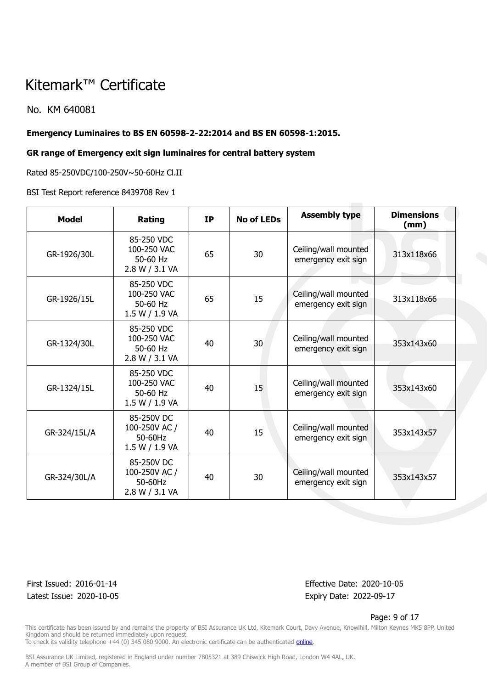No. KM 640081

### **Emergency Luminaires to BS EN 60598-2-22:2014 and BS EN 60598-1:2015.**

#### **GR range of Emergency exit sign luminaires for central battery system**

Rated 85-250VDC/100-250V~50-60Hz Cl.II

BSI Test Report reference 8439708 Rev 1

| <b>Model</b> | Rating                                                   | <b>IP</b> | <b>No of LEDs</b> | <b>Assembly type</b>                        | <b>Dimensions</b><br>(mm) |
|--------------|----------------------------------------------------------|-----------|-------------------|---------------------------------------------|---------------------------|
| GR-1926/30L  | 85-250 VDC<br>100-250 VAC<br>50-60 Hz<br>2.8 W / 3.1 VA  | 65        | 30                | Ceiling/wall mounted<br>emergency exit sign | 313x118x66                |
| GR-1926/15L  | 85-250 VDC<br>100-250 VAC<br>50-60 Hz<br>1.5 W / 1.9 VA  | 65        | 15                | Ceiling/wall mounted<br>emergency exit sign | 313x118x66                |
| GR-1324/30L  | 85-250 VDC<br>100-250 VAC<br>50-60 Hz<br>2.8 W / 3.1 VA  | 40        | 30                | Ceiling/wall mounted<br>emergency exit sign | 353x143x60                |
| GR-1324/15L  | 85-250 VDC<br>100-250 VAC<br>50-60 Hz<br>1.5 W / 1.9 VA  | 40        | 15                | Ceiling/wall mounted<br>emergency exit sign | 353x143x60                |
| GR-324/15L/A | 85-250V DC<br>100-250V AC /<br>50-60Hz<br>1.5 W / 1.9 VA | 40        | 15                | Ceiling/wall mounted<br>emergency exit sign | 353x143x57                |
| GR-324/30L/A | 85-250V DC<br>100-250V AC /<br>50-60Hz<br>2.8 W / 3.1 VA | 40        | 30                | Ceiling/wall mounted<br>emergency exit sign | 353x143x57                |

Latest Issue: 2020-10-05 Expiry Date: 2022-09-17

First Issued: 2016-01-14 Effective Date: 2020-10-05

Page: 9 of 17

This certificate has been issued by and remains the property of BSI Assurance UK Ltd, Kitemark Court, Davy Avenue, Knowlhill, Milton Keynes MK5 8PP, United Kingdom and should be returned immediately upon request.

To check its validity telephone +44 (0) 345 080 9000. An electronic certificate can be authenticated *[online](https://pgplus.bsigroup.com/CertificateValidation/CertificateValidator.aspx?CertificateNumber=KM+640081&ReIssueDate=05%2f10%2f2020&Template=uk)*.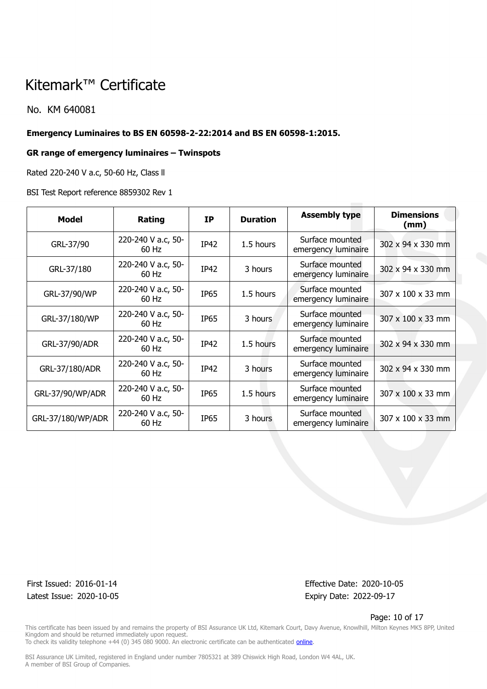No. KM 640081

#### **Emergency Luminaires to BS EN 60598-2-22:2014 and BS EN 60598-1:2015.**

#### **GR range of emergency luminaires – Twinspots**

Rated 220-240 V a.c, 50-60 Hz, Class ll

BSI Test Report reference 8859302 Rev 1

| <b>Model</b>      | Rating                        | <b>IP</b>   | <b>Duration</b> | <b>Assembly type</b>                   | <b>Dimensions</b><br>(mm) |
|-------------------|-------------------------------|-------------|-----------------|----------------------------------------|---------------------------|
| GRL-37/90         | 220-240 V a.c, 50-<br>$60$ Hz | IP42        | 1.5 hours       | Surface mounted<br>emergency luminaire | 302 x 94 x 330 mm         |
| GRL-37/180        | 220-240 V a.c, 50-<br>$60$ Hz | IP42        | 3 hours         | Surface mounted<br>emergency luminaire | 302 x 94 x 330 mm         |
| GRL-37/90/WP      | 220-240 V a.c, 50-<br>$60$ Hz | <b>IP65</b> | 1.5 hours       | Surface mounted<br>emergency luminaire | 307 x 100 x 33 mm         |
| GRL-37/180/WP     | 220-240 V a.c, 50-<br>$60$ Hz | <b>IP65</b> | 3 hours         | Surface mounted<br>emergency luminaire | 307 x 100 x 33 mm         |
| GRL-37/90/ADR     | 220-240 V a.c, 50-<br>60 Hz   | IP42        | 1.5 hours       | Surface mounted<br>emergency luminaire | 302 x 94 x 330 mm         |
| GRL-37/180/ADR    | 220-240 V a.c, 50-<br>60 Hz   | IP42        | 3 hours         | Surface mounted<br>emergency luminaire | 302 x 94 x 330 mm         |
| GRL-37/90/WP/ADR  | 220-240 V a.c, 50-<br>$60$ Hz | <b>IP65</b> | 1.5 hours       | Surface mounted<br>emergency luminaire | 307 x 100 x 33 mm         |
| GRL-37/180/WP/ADR | 220-240 V a.c, 50-<br>60 Hz   | <b>IP65</b> | 3 hours         | Surface mounted<br>emergency luminaire | 307 x 100 x 33 mm         |

Latest Issue: 2020-10-05 Expiry Date: 2022-09-17

First Issued: 2016-01-14 Effective Date: 2020-10-05

Page: 10 of 17

This certificate has been issued by and remains the property of BSI Assurance UK Ltd, Kitemark Court, Davy Avenue, Knowlhill, Milton Keynes MK5 8PP, United Kingdom and should be returned immediately upon request. To check its validity telephone +44 (0) 345 080 9000. An electronic certificate can be authenticated *[online](https://pgplus.bsigroup.com/CertificateValidation/CertificateValidator.aspx?CertificateNumber=KM+640081&ReIssueDate=05%2f10%2f2020&Template=uk)*.

BSI Assurance UK Limited, registered in England under number 7805321 at 389 Chiswick High Road, London W4 4AL, UK.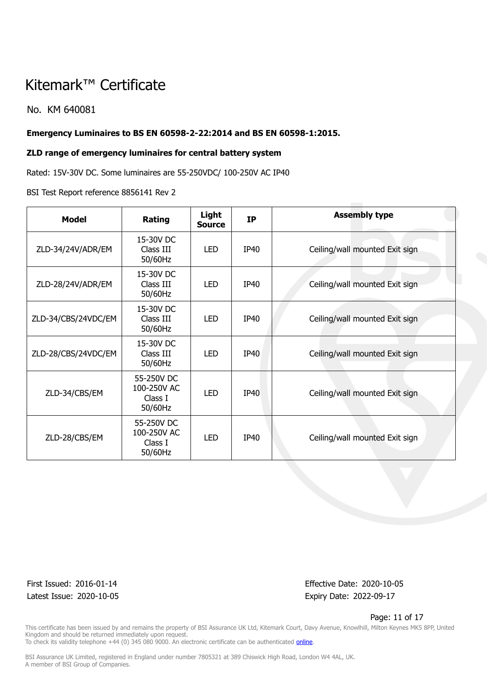No. KM 640081

### **Emergency Luminaires to BS EN 60598-2-22:2014 and BS EN 60598-1:2015.**

#### **ZLD range of emergency luminaires for central battery system**

Rated: 15V-30V DC. Some luminaires are 55-250VDC/ 100-250V AC IP40

#### BSI Test Report reference 8856141 Rev 2

| <b>Model</b>        | Rating                                          | Light<br><b>Source</b> | <b>IP</b>   | <b>Assembly type</b>           |
|---------------------|-------------------------------------------------|------------------------|-------------|--------------------------------|
| ZLD-34/24V/ADR/EM   | 15-30V DC<br>Class III<br>50/60Hz               | <b>LED</b>             | IP40        | Ceiling/wall mounted Exit sign |
| ZLD-28/24V/ADR/EM   | 15-30V DC<br>Class III<br>50/60Hz               | <b>LED</b>             | <b>IP40</b> | Ceiling/wall mounted Exit sign |
| ZLD-34/CBS/24VDC/EM | 15-30V DC<br>Class III<br>50/60Hz               | <b>LED</b>             | <b>IP40</b> | Ceiling/wall mounted Exit sign |
| ZLD-28/CBS/24VDC/EM | 15-30V DC<br>Class III<br>50/60Hz               | <b>LED</b>             | IP40        | Ceiling/wall mounted Exit sign |
| ZLD-34/CBS/EM       | 55-250V DC<br>100-250V AC<br>Class I<br>50/60Hz | <b>LED</b>             | <b>IP40</b> | Ceiling/wall mounted Exit sign |
| ZLD-28/CBS/EM       | 55-250V DC<br>100-250V AC<br>Class I<br>50/60Hz | <b>LED</b>             | <b>IP40</b> | Ceiling/wall mounted Exit sign |

Latest Issue: 2020-10-05 Expiry Date: 2022-09-17

First Issued: 2016-01-14 Effective Date: 2020-10-05

#### Page: 11 of 17

This certificate has been issued by and remains the property of BSI Assurance UK Ltd, Kitemark Court, Davy Avenue, Knowlhill, Milton Keynes MK5 8PP, United Kingdom and should be returned immediately upon request.

To check its validity telephone +44 (0) 345 080 9000. An electronic certificate can be authenticated *[online](https://pgplus.bsigroup.com/CertificateValidation/CertificateValidator.aspx?CertificateNumber=KM+640081&ReIssueDate=05%2f10%2f2020&Template=uk)*.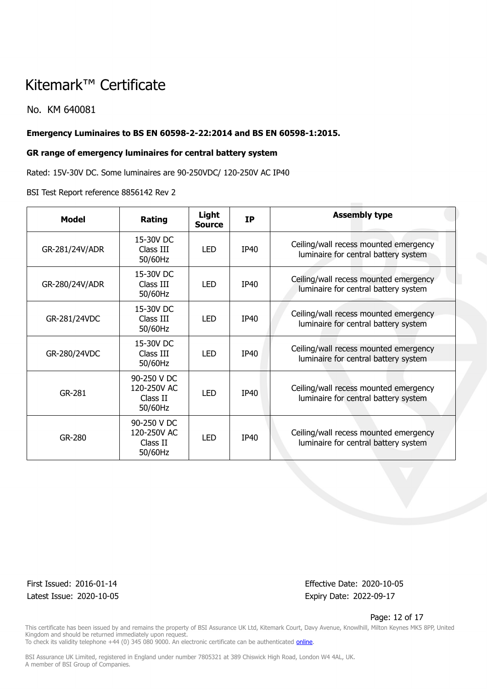No. KM 640081

### **Emergency Luminaires to BS EN 60598-2-22:2014 and BS EN 60598-1:2015.**

#### **GR range of emergency luminaires for central battery system**

Rated: 15V-30V DC. Some luminaires are 90-250VDC/ 120-250V AC IP40

#### BSI Test Report reference 8856142 Rev 2

| <b>Model</b>   | Rating                                            | Light<br><b>Source</b> | <b>IP</b>   | <b>Assembly type</b>                                                          |
|----------------|---------------------------------------------------|------------------------|-------------|-------------------------------------------------------------------------------|
| GR-281/24V/ADR | 15-30V DC<br>Class III<br>50/60Hz                 | <b>LED</b>             | <b>IP40</b> | Ceiling/wall recess mounted emergency<br>luminaire for central battery system |
| GR-280/24V/ADR | 15-30V DC<br>Class III<br>50/60Hz                 | <b>LED</b>             | <b>IP40</b> | Ceiling/wall recess mounted emergency<br>luminaire for central battery system |
| GR-281/24VDC   | 15-30V DC<br>Class III<br>50/60Hz                 | LED.                   | IP40        | Ceiling/wall recess mounted emergency<br>luminaire for central battery system |
| GR-280/24VDC   | 15-30V DC<br>Class III<br>50/60Hz                 | <b>LED</b>             | IP40        | Ceiling/wall recess mounted emergency<br>luminaire for central battery system |
| GR-281         | 90-250 V DC<br>120-250V AC<br>Class II<br>50/60Hz | <b>LED</b>             | <b>IP40</b> | Ceiling/wall recess mounted emergency<br>luminaire for central battery system |
| GR-280         | 90-250 V DC<br>120-250V AC<br>Class II<br>50/60Hz | <b>LED</b>             | IP40        | Ceiling/wall recess mounted emergency<br>luminaire for central battery system |

Latest Issue: 2020-10-05 Expiry Date: 2022-09-17

First Issued: 2016-01-14 Effective Date: 2020-10-05

#### Page: 12 of 17

This certificate has been issued by and remains the property of BSI Assurance UK Ltd, Kitemark Court, Davy Avenue, Knowlhill, Milton Keynes MK5 8PP, United Kingdom and should be returned immediately upon request.

To check its validity telephone +44 (0) 345 080 9000. An electronic certificate can be authenticated *[online](https://pgplus.bsigroup.com/CertificateValidation/CertificateValidator.aspx?CertificateNumber=KM+640081&ReIssueDate=05%2f10%2f2020&Template=uk)*.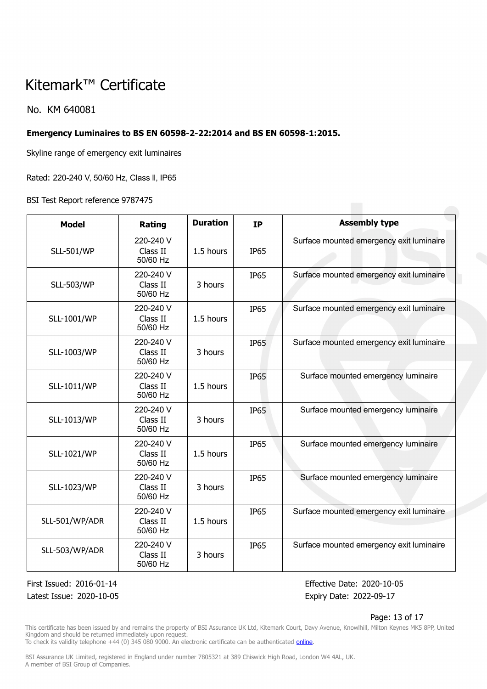### No. KM 640081

### **Emergency Luminaires to BS EN 60598-2-22:2014 and BS EN 60598-1:2015.**

Skyline range of emergency exit luminaires

Rated: 220-240 V, 50/60 Hz, Class ll, IP65

BSI Test Report reference 9787475

| <b>Model</b>       | Rating                            | <b>Duration</b> | <b>IP</b>   | <b>Assembly type</b>                     |
|--------------------|-----------------------------------|-----------------|-------------|------------------------------------------|
| <b>SLL-501/WP</b>  | 220-240 V<br>Class II<br>50/60 Hz | 1.5 hours       | <b>IP65</b> | Surface mounted emergency exit luminaire |
| <b>SLL-503/WP</b>  | 220-240 V<br>Class II<br>50/60 Hz | 3 hours         | <b>IP65</b> | Surface mounted emergency exit luminaire |
| <b>SLL-1001/WP</b> | 220-240 V<br>Class II<br>50/60 Hz | 1.5 hours       | <b>IP65</b> | Surface mounted emergency exit luminaire |
| SLL-1003/WP        | 220-240 V<br>Class II<br>50/60 Hz | 3 hours         | <b>IP65</b> | Surface mounted emergency exit luminaire |
| SLL-1011/WP        | 220-240 V<br>Class II<br>50/60 Hz | 1.5 hours       | <b>IP65</b> | Surface mounted emergency luminaire      |
| <b>SLL-1013/WP</b> | 220-240 V<br>Class II<br>50/60 Hz | 3 hours         | <b>IP65</b> | Surface mounted emergency luminaire      |
| <b>SLL-1021/WP</b> | 220-240 V<br>Class II<br>50/60 Hz | 1.5 hours       | <b>IP65</b> | Surface mounted emergency luminaire      |
| <b>SLL-1023/WP</b> | 220-240 V<br>Class II<br>50/60 Hz | 3 hours         | <b>IP65</b> | Surface mounted emergency luminaire      |
| SLL-501/WP/ADR     | 220-240 V<br>Class II<br>50/60 Hz | 1.5 hours       | <b>IP65</b> | Surface mounted emergency exit luminaire |
| SLL-503/WP/ADR     | 220-240 V<br>Class II<br>50/60 Hz | 3 hours         | <b>IP65</b> | Surface mounted emergency exit luminaire |

Latest Issue: 2020-10-05 Expiry Date: 2022-09-17

First Issued: 2016-01-14 Effective Date: 2020-10-05

#### Page: 13 of 17

This certificate has been issued by and remains the property of BSI Assurance UK Ltd, Kitemark Court, Davy Avenue, Knowlhill, Milton Keynes MK5 8PP, United Kingdom and should be returned immediately upon request.

To check its validity telephone +44 (0) 345 080 9000. An electronic certificate can be authenticated *[online](https://pgplus.bsigroup.com/CertificateValidation/CertificateValidator.aspx?CertificateNumber=KM+640081&ReIssueDate=05%2f10%2f2020&Template=uk)*.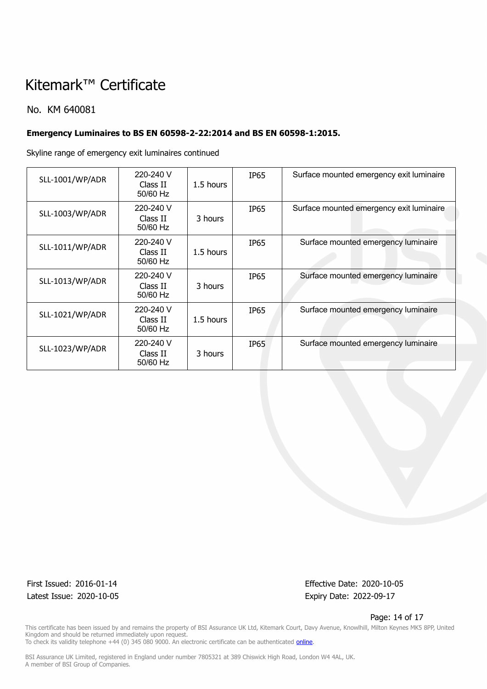### No. KM 640081

## **Emergency Luminaires to BS EN 60598-2-22:2014 and BS EN 60598-1:2015.**

Skyline range of emergency exit luminaires continued

| <b>SLL-1001/WP/ADR</b> | 220-240 V<br>Class II<br>50/60 Hz | 1.5 hours | IP65             | Surface mounted emergency exit luminaire |
|------------------------|-----------------------------------|-----------|------------------|------------------------------------------|
| <b>SLL-1003/WP/ADR</b> | 220-240 V<br>Class II<br>50/60 Hz | 3 hours   | IP <sub>65</sub> | Surface mounted emergency exit luminaire |
| SLL-1011/WP/ADR        | 220-240 V<br>Class II<br>50/60 Hz | 1.5 hours | <b>IP65</b>      | Surface mounted emergency luminaire      |
| <b>SLL-1013/WP/ADR</b> | 220-240 V<br>Class II<br>50/60 Hz | 3 hours   | IP65             | Surface mounted emergency luminaire      |
| <b>SLL-1021/WP/ADR</b> | 220-240 V<br>Class II<br>50/60 Hz | 1.5 hours | IP65             | Surface mounted emergency luminaire      |
| <b>SLL-1023/WP/ADR</b> | 220-240 V<br>Class II<br>50/60 Hz | 3 hours   | IP65             | Surface mounted emergency luminaire      |

Latest Issue: 2020-10-05 expiry Date: 2022-09-17

First Issued: 2016-01-14 Effective Date: 2020-10-05

#### Page: 14 of 17

This certificate has been issued by and remains the property of BSI Assurance UK Ltd, Kitemark Court, Davy Avenue, Knowlhill, Milton Keynes MK5 8PP, United Kingdom and should be returned immediately upon request. To check its validity telephone +44 (0) 345 080 9000. An electronic certificate can be authenticated *[online](https://pgplus.bsigroup.com/CertificateValidation/CertificateValidator.aspx?CertificateNumber=KM+640081&ReIssueDate=05%2f10%2f2020&Template=uk)*.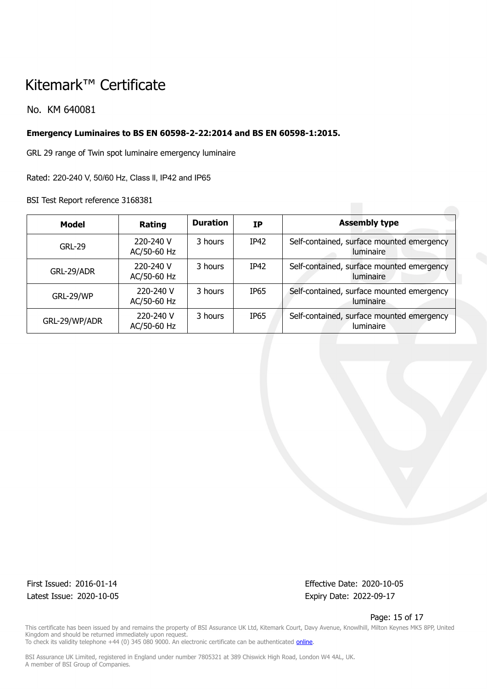No. KM 640081

### **Emergency Luminaires to BS EN 60598-2-22:2014 and BS EN 60598-1:2015.**

GRL 29 range of Twin spot luminaire emergency luminaire

Rated: 220-240 V, 50/60 Hz, Class ll, IP42 and IP65

BSI Test Report reference 3168381

| Model         | Rating                   | <b>Duration</b> | <b>IP</b>        | <b>Assembly type</b>                                          |
|---------------|--------------------------|-----------------|------------------|---------------------------------------------------------------|
| <b>GRL-29</b> | 220-240 V<br>AC/50-60 Hz | 3 hours         | IP42             | Self-contained, surface mounted emergency<br><b>luminaire</b> |
| GRL-29/ADR    | 220-240 V<br>AC/50-60 Hz | 3 hours         | IP42             | Self-contained, surface mounted emergency<br>luminaire        |
| GRL-29/WP     | 220-240 V<br>AC/50-60 Hz | 3 hours         | <b>IP65</b>      | Self-contained, surface mounted emergency<br>luminaire        |
| GRL-29/WP/ADR | 220-240 V<br>AC/50-60 Hz | 3 hours         | IP <sub>65</sub> | Self-contained, surface mounted emergency<br>luminaire        |

Latest Issue: 2020-10-05 Expiry Date: 2022-09-17

First Issued: 2016-01-14 Effective Date: 2020-10-05

Page: 15 of 17

This certificate has been issued by and remains the property of BSI Assurance UK Ltd, Kitemark Court, Davy Avenue, Knowlhill, Milton Keynes MK5 8PP, United Kingdom and should be returned immediately upon request. To check its validity telephone +44 (0) 345 080 9000. An electronic certificate can be authenticated *[online](https://pgplus.bsigroup.com/CertificateValidation/CertificateValidator.aspx?CertificateNumber=KM+640081&ReIssueDate=05%2f10%2f2020&Template=uk)*.

BSI Assurance UK Limited, registered in England under number 7805321 at 389 Chiswick High Road, London W4 4AL, UK.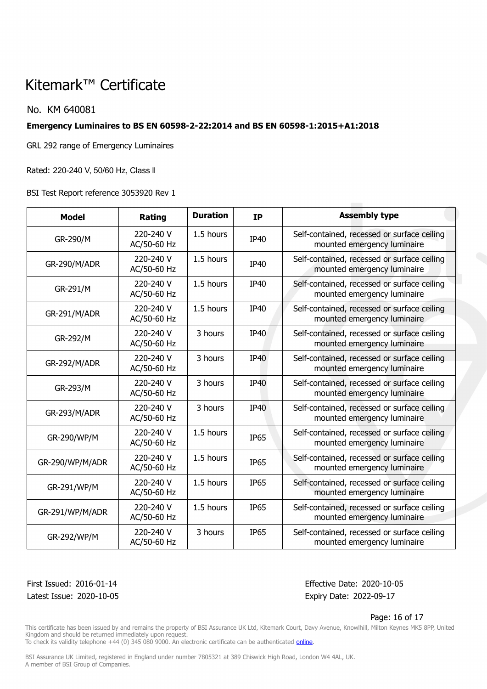### No. KM 640081

### **Emergency Luminaires to BS EN 60598-2-22:2014 and BS EN 60598-1:2015+A1:2018**

GRL 292 range of Emergency Luminaires

Rated: 220-240 V, 50/60 Hz, Class ll

BSI Test Report reference 3053920 Rev 1

| <b>Model</b>    | Rating                   | <b>Duration</b> | <b>IP</b>   | <b>Assembly type</b>                                                       |
|-----------------|--------------------------|-----------------|-------------|----------------------------------------------------------------------------|
| GR-290/M        | 220-240 V<br>AC/50-60 Hz | 1.5 hours       | IP40        | Self-contained, recessed or surface ceiling<br>mounted emergency luminaire |
| GR-290/M/ADR    | 220-240 V<br>AC/50-60 Hz | 1.5 hours       | IP40        | Self-contained, recessed or surface ceiling<br>mounted emergency luminaire |
| GR-291/M        | 220-240 V<br>AC/50-60 Hz | 1.5 hours       | IP40        | Self-contained, recessed or surface ceiling<br>mounted emergency luminaire |
| GR-291/M/ADR    | 220-240 V<br>AC/50-60 Hz | 1.5 hours       | <b>IP40</b> | Self-contained, recessed or surface ceiling<br>mounted emergency luminaire |
| GR-292/M        | 220-240 V<br>AC/50-60 Hz | 3 hours         | IP40        | Self-contained, recessed or surface ceiling<br>mounted emergency luminaire |
| GR-292/M/ADR    | 220-240 V<br>AC/50-60 Hz | 3 hours         | <b>IP40</b> | Self-contained, recessed or surface ceiling<br>mounted emergency luminaire |
| GR-293/M        | 220-240 V<br>AC/50-60 Hz | 3 hours         | <b>IP40</b> | Self-contained, recessed or surface ceiling<br>mounted emergency luminaire |
| GR-293/M/ADR    | 220-240 V<br>AC/50-60 Hz | 3 hours         | <b>IP40</b> | Self-contained, recessed or surface ceiling<br>mounted emergency luminaire |
| GR-290/WP/M     | 220-240 V<br>AC/50-60 Hz | 1.5 hours       | <b>IP65</b> | Self-contained, recessed or surface ceiling<br>mounted emergency luminaire |
| GR-290/WP/M/ADR | 220-240 V<br>AC/50-60 Hz | 1.5 hours       | <b>IP65</b> | Self-contained, recessed or surface ceiling<br>mounted emergency luminaire |
| GR-291/WP/M     | 220-240 V<br>AC/50-60 Hz | 1.5 hours       | <b>IP65</b> | Self-contained, recessed or surface ceiling<br>mounted emergency luminaire |
| GR-291/WP/M/ADR | 220-240 V<br>AC/50-60 Hz | 1.5 hours       | <b>IP65</b> | Self-contained, recessed or surface ceiling<br>mounted emergency luminaire |
| GR-292/WP/M     | 220-240 V<br>AC/50-60 Hz | 3 hours         | <b>IP65</b> | Self-contained, recessed or surface ceiling<br>mounted emergency luminaire |

Latest Issue: 2020-10-05 Expiry Date: 2022-09-17

First Issued: 2016-01-14 Effective Date: 2020-10-05

#### Page: 16 of 17

This certificate has been issued by and remains the property of BSI Assurance UK Ltd, Kitemark Court, Davy Avenue, Knowlhill, Milton Keynes MK5 8PP, United Kingdom and should be returned immediately upon request.

To check its validity telephone +44 (0) 345 080 9000. An electronic certificate can be authenticated *[online](https://pgplus.bsigroup.com/CertificateValidation/CertificateValidator.aspx?CertificateNumber=KM+640081&ReIssueDate=05%2f10%2f2020&Template=uk)*.